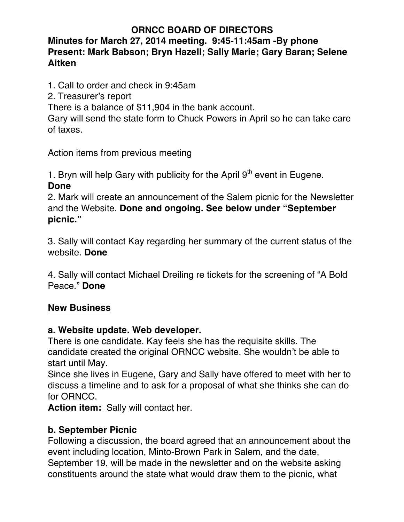### **ORNCC BOARD OF DIRECTORS**

## **Minutes for March 27, 2014 meeting. 9:45-11:45am -By phone Present: Mark Babson; Bryn Hazell; Sally Marie; Gary Baran; Selene Aitken**

1. Call to order and check in 9:45am

2. Treasurer's report

There is a balance of \$11,904 in the bank account.

Gary will send the state form to Chuck Powers in April so he can take care of taxes.

Action items from previous meeting

1. Bryn will help Gary with publicity for the April  $9<sup>th</sup>$  event in Eugene. **Done**

2. Mark will create an announcement of the Salem picnic for the Newsletter and the Website. **Done and ongoing. See below under "September picnic."**

3. Sally will contact Kay regarding her summary of the current status of the website. **Done**

4. Sally will contact Michael Dreiling re tickets for the screening of "A Bold Peace." **Done**

## **New Business**

### **a. Website update. Web developer.**

There is one candidate. Kay feels she has the requisite skills. The candidate created the original ORNCC website. She wouldn't be able to start until May.

Since she lives in Eugene, Gary and Sally have offered to meet with her to discuss a timeline and to ask for a proposal of what she thinks she can do for ORNCC.

Action item: Sally will contact her.

### **b. September Picnic**

Following a discussion, the board agreed that an announcement about the event including location, Minto-Brown Park in Salem, and the date, September 19, will be made in the newsletter and on the website asking constituents around the state what would draw them to the picnic, what